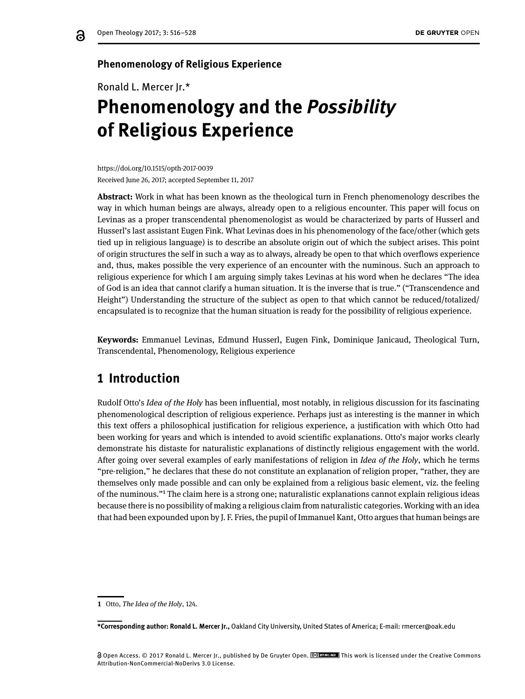#### **Phenomenology of Religious Experience**

Ronald L. Mercer Jr.\*

# **Phenomenology and the** *Possibility* **of Religious Experience**

https://doi.org/10.1515/opth-2017-0039 Received June 26, 2017; accepted September 11, 2017

**Abstract:** Work in what has been known as the theological turn in French phenomenology describes the way in which human beings are always, already open to a religious encounter. This paper will focus on Levinas as a proper transcendental phenomenologist as would be characterized by parts of Husserl and Husserl's last assistant Eugen Fink. What Levinas does in his phenomenology of the face/other (which gets tied up in religious language) is to describe an absolute origin out of which the subject arises. This point of origin structures the self in such a way as to always, already be open to that which overflows experience and, thus, makes possible the very experience of an encounter with the numinous. Such an approach to religious experience for which I am arguing simply takes Levinas at his word when he declares "The idea of God is an idea that cannot clarify a human situation. It is the inverse that is true." ("Transcendence and Height") Understanding the structure of the subject as open to that which cannot be reduced/totalized/ encapsulated is to recognize that the human situation is ready for the possibility of religious experience.

**Keywords:** Emmanuel Levinas, Edmund Husserl, Eugen Fink, Dominique Janicaud, Theological Turn, Transcendental, Phenomenology, Religious experience

## **1 Introduction**

Rudolf Otto's *Idea of the Holy* has been influential, most notably, in religious discussion for its fascinating phenomenological description of religious experience. Perhaps just as interesting is the manner in which this text offers a philosophical justification for religious experience, a justification with which Otto had been working for years and which is intended to avoid scientific explanations. Otto's major works clearly demonstrate his distaste for naturalistic explanations of distinctly religious engagement with the world. After going over several examples of early manifestations of religion in *Idea of the Holy*, which he terms "pre-religion," he declares that these do not constitute an explanation of religion proper, "rather, they are themselves only made possible and can only be explained from a religious basic element, viz. the feeling of the numinous."1 The claim here is a strong one; naturalistic explanations cannot explain religious ideas because there is no possibility of making a religious claim from naturalistic categories. Working with an idea that had been expounded upon by J. F. Fries, the pupil of Immanuel Kant, Otto argues that human beings are

**<sup>1</sup>** Otto, *The Idea of the Holy*, 124.

**<sup>\*</sup>Corresponding author: Ronald L. Mercer Jr.,** Oakland City University, United States of America; E-mail: rmercer@oak.edu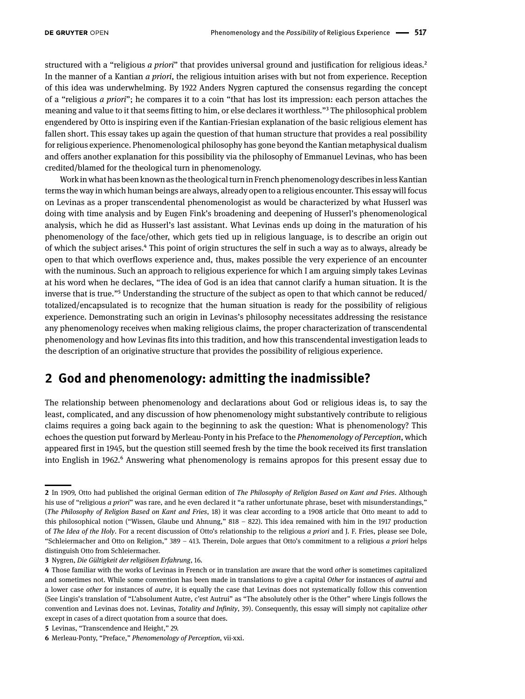structured with a "religious *a priori*" that provides universal ground and justification for religious ideas.2 In the manner of a Kantian *a priori*, the religious intuition arises with but not from experience. Reception of this idea was underwhelming. By 1922 Anders Nygren captured the consensus regarding the concept of a "religious *a priori*"; he compares it to a coin "that has lost its impression: each person attaches the meaning and value to it that seems fitting to him, or else declares it worthless."3 The philosophical problem engendered by Otto is inspiring even if the Kantian-Friesian explanation of the basic religious element has fallen short. This essay takes up again the question of that human structure that provides a real possibility for religious experience. Phenomenological philosophy has gone beyond the Kantian metaphysical dualism and offers another explanation for this possibility via the philosophy of Emmanuel Levinas, who has been credited/blamed for the theological turn in phenomenology.

Work in what has been known as the theological turn in French phenomenology describes in less Kantian terms the way in which human beings are always, already open to a religious encounter. This essay will focus on Levinas as a proper transcendental phenomenologist as would be characterized by what Husserl was doing with time analysis and by Eugen Fink's broadening and deepening of Husserl's phenomenological analysis, which he did as Husserl's last assistant. What Levinas ends up doing in the maturation of his phenomenology of the face/other, which gets tied up in religious language, is to describe an origin out of which the subject arises.4 This point of origin structures the self in such a way as to always, already be open to that which overflows experience and, thus, makes possible the very experience of an encounter with the numinous. Such an approach to religious experience for which I am arguing simply takes Levinas at his word when he declares, "The idea of God is an idea that cannot clarify a human situation. It is the inverse that is true."5 Understanding the structure of the subject as open to that which cannot be reduced/ totalized/encapsulated is to recognize that the human situation is ready for the possibility of religious experience. Demonstrating such an origin in Levinas's philosophy necessitates addressing the resistance any phenomenology receives when making religious claims, the proper characterization of transcendental phenomenology and how Levinas fits into this tradition, and how this transcendental investigation leads to the description of an originative structure that provides the possibility of religious experience.

## **2 God and phenomenology: admitting the inadmissible?**

The relationship between phenomenology and declarations about God or religious ideas is, to say the least, complicated, and any discussion of how phenomenology might substantively contribute to religious claims requires a going back again to the beginning to ask the question: What is phenomenology? This echoes the question put forward by Merleau-Ponty in his Preface to the *Phenomenology of Perception*, which appeared first in 1945, but the question still seemed fresh by the time the book received its first translation into English in 1962.<sup>6</sup> Answering what phenomenology is remains apropos for this present essay due to

**<sup>2</sup>** In 1909, Otto had published the original German edition of *The Philosophy of Religion Based on Kant and Fries*. Although his use of "religious *a priori*" was rare, and he even declared it "a rather unfortunate phrase, beset with misunderstandings," (*The Philosophy of Religion Based on Kant and Fries*, 18) it was clear according to a 1908 article that Otto meant to add to this philosophical notion ("Wissen, Glaube und Ahnung," 818 – 822). This idea remained with him in the 1917 production of *The Idea of the Holy*. For a recent discussion of Otto's relationship to the religious *a priori* and J. F. Fries, please see Dole, "Schleiermacher and Otto on Religion," 389 – 413. Therein, Dole argues that Otto's commitment to a religious *a priori* helps distinguish Otto from Schleiermacher.

**<sup>3</sup>** Nygren, *Die Gültigkeit der religiösen Erfahrung*, 16*.*

**<sup>4</sup>** Those familiar with the works of Levinas in French or in translation are aware that the word *other* is sometimes capitalized and sometimes not. While some convention has been made in translations to give a capital *Other* for instances of *autrui* and a lower case *other* for instances of *autre*, it is equally the case that Levinas does not systematically follow this convention (See Lingis's translation of "L'absolument Autre, c'est Autrui" as "The absolutely other is the Other" where Lingis follows the convention and Levinas does not. Levinas, *Totality and Infinity*, 39). Consequently, this essay will simply not capitalize *other* except in cases of a direct quotation from a source that does.

**<sup>5</sup>** Levinas, "Transcendence and Height," 29.

**<sup>6</sup>** Merleau-Ponty, "Preface," *Phenomenology of Perception*, vii-xxi.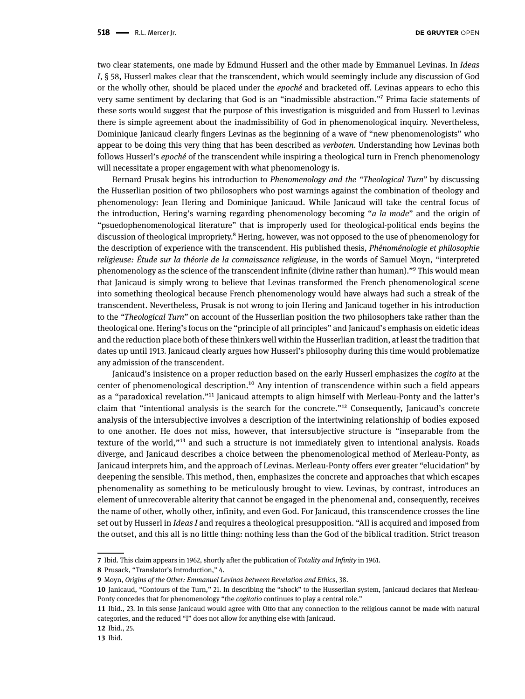two clear statements, one made by Edmund Husserl and the other made by Emmanuel Levinas. In *Ideas I*, § 58, Husserl makes clear that the transcendent, which would seemingly include any discussion of God or the wholly other, should be placed under the *epoché* and bracketed off. Levinas appears to echo this very same sentiment by declaring that God is an "inadmissible abstraction."7 Prima facie statements of these sorts would suggest that the purpose of this investigation is misguided and from Husserl to Levinas there is simple agreement about the inadmissibility of God in phenomenological inquiry. Nevertheless, Dominique Janicaud clearly fingers Levinas as the beginning of a wave of "new phenomenologists" who appear to be doing this very thing that has been described as *verboten*. Understanding how Levinas both follows Husserl's *epoché* of the transcendent while inspiring a theological turn in French phenomenology will necessitate a proper engagement with what phenomenology is.

Bernard Prusak begins his introduction to *Phenomenology and the "Theological Turn"* by discussing the Husserlian position of two philosophers who post warnings against the combination of theology and phenomenology: Jean Hering and Dominique Janicaud. While Janicaud will take the central focus of the introduction, Hering's warning regarding phenomenology becoming "*a la mode*" and the origin of "psuedophenomenological literature" that is improperly used for theological-political ends begins the discussion of theological impropriety.<sup>8</sup> Hering, however, was not opposed to the use of phenomenology for the description of experience with the transcendent. His published thesis, *Phénoménologie et philosophie religieuse: Étude sur la théorie de la connaissance religieuse*, in the words of Samuel Moyn, "interpreted phenomenology as the science of the transcendent infinite (divine rather than human)."9 This would mean that Janicaud is simply wrong to believe that Levinas transformed the French phenomenological scene into something theological because French phenomenology would have always had such a streak of the transcendent. Nevertheless, Prusak is not wrong to join Hering and Janicaud together in his introduction to the *"Theological Turn"* on account of the Husserlian position the two philosophers take rather than the theological one. Hering's focus on the "principle of all principles" and Janicaud's emphasis on eidetic ideas and the reduction place both of these thinkers well within the Husserlian tradition, at least the tradition that dates up until 1913. Janicaud clearly argues how Husserl's philosophy during this time would problematize any admission of the transcendent.

Janicaud's insistence on a proper reduction based on the early Husserl emphasizes the *cogito* at the center of phenomenological description.10 Any intention of transcendence within such a field appears as a "paradoxical revelation."11 Janicaud attempts to align himself with Merleau-Ponty and the latter's claim that "intentional analysis is the search for the concrete."12 Consequently, Janicaud's concrete analysis of the intersubjective involves a description of the intertwining relationship of bodies exposed to one another. He does not miss, however, that intersubjective structure is "inseparable from the texture of the world,"13 and such a structure is not immediately given to intentional analysis. Roads diverge, and Janicaud describes a choice between the phenomenological method of Merleau-Ponty, as Janicaud interprets him, and the approach of Levinas. Merleau-Ponty offers ever greater "elucidation" by deepening the sensible. This method, then, emphasizes the concrete and approaches that which escapes phenomenality as something to be meticulously brought to view. Levinas, by contrast, introduces an element of unrecoverable alterity that cannot be engaged in the phenomenal and, consequently, receives the name of other, wholly other, infinity, and even God. For Janicaud, this transcendence crosses the line set out by Husserl in *Ideas I* and requires a theological presupposition. "All is acquired and imposed from the outset, and this all is no little thing: nothing less than the God of the biblical tradition. Strict treason

**<sup>7</sup>** Ibid. This claim appears in 1962, shortly after the publication of *Totality and Infinity* in 1961.

**<sup>8</sup>** Prusack, "Translator's Introduction," 4.

**<sup>9</sup>** Moyn, *Origins of the Other: Emmanuel Levinas between Revelation and Ethics*, 38.

**<sup>10</sup>** Janicaud, "Contours of the Turn," 21. In describing the "shock" to the Husserlian system, Janicaud declares that Merleau-Ponty concedes that for phenomenology "the *cogitatio* continues to play a central role."

**<sup>11</sup>** Ibid., 23. In this sense Janicaud would agree with Otto that any connection to the religious cannot be made with natural categories, and the reduced "I" does not allow for anything else with Janicaud.

**<sup>12</sup>** Ibid., 25.

**<sup>13</sup>** Ibid.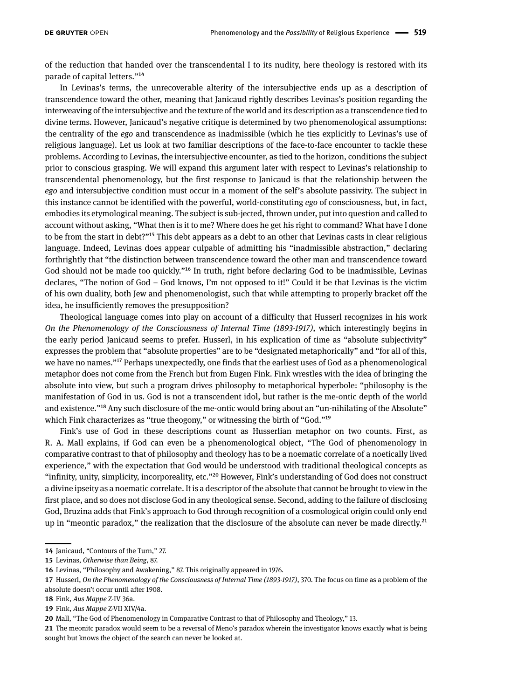of the reduction that handed over the transcendental I to its nudity, here theology is restored with its parade of capital letters."14

In Levinas's terms, the unrecoverable alterity of the intersubjective ends up as a description of transcendence toward the other, meaning that Janicaud rightly describes Levinas's position regarding the interweaving of the intersubjective and the texture of the world and its description as a transcendence tied to divine terms. However, Janicaud's negative critique is determined by two phenomenological assumptions: the centrality of the *ego* and transcendence as inadmissible (which he ties explicitly to Levinas's use of religious language). Let us look at two familiar descriptions of the face-to-face encounter to tackle these problems. According to Levinas, the intersubjective encounter, as tied to the horizon, conditions the subject prior to conscious grasping. We will expand this argument later with respect to Levinas's relationship to transcendental phenomenology, but the first response to Janicaud is that the relationship between the *ego* and intersubjective condition must occur in a moment of the self's absolute passivity. The subject in this instance cannot be identified with the powerful, world-constituting *ego* of consciousness, but, in fact, embodies its etymological meaning. The subject is sub-jected, thrown under, put into question and called to account without asking, "What then is it to me? Where does he get his right to command? What have I done to be from the start in debt?"15 This debt appears as a debt to an other that Levinas casts in clear religious language. Indeed, Levinas does appear culpable of admitting his "inadmissible abstraction," declaring forthrightly that "the distinction between transcendence toward the other man and transcendence toward God should not be made too quickly."<sup>16</sup> In truth, right before declaring God to be inadmissible, Levinas declares, "The notion of God – God knows, I'm not opposed to it!" Could it be that Levinas is the victim of his own duality, both Jew and phenomenologist, such that while attempting to properly bracket off the idea, he insufficiently removes the presupposition?

Theological language comes into play on account of a difficulty that Husserl recognizes in his work *On the Phenomenology of the Consciousness of Internal Time (1893-1917)*, which interestingly begins in the early period Janicaud seems to prefer. Husserl, in his explication of time as "absolute subjectivity" expresses the problem that "absolute properties" are to be "designated metaphorically" and "for all of this, we have no names."<sup>17</sup> Perhaps unexpectedly, one finds that the earliest uses of God as a phenomenological metaphor does not come from the French but from Eugen Fink. Fink wrestles with the idea of bringing the absolute into view, but such a program drives philosophy to metaphorical hyperbole: "philosophy is the manifestation of God in us. God is not a transcendent idol, but rather is the me-ontic depth of the world and existence."18 Any such disclosure of the me-ontic would bring about an "un-nihilating of the Absolute" which Fink characterizes as "true theogony," or witnessing the birth of "God."<sup>19</sup>

Fink's use of God in these descriptions count as Husserlian metaphor on two counts. First, as R. A. Mall explains, if God can even be a phenomenological object, "The God of phenomenology in comparative contrast to that of philosophy and theology has to be a noematic correlate of a noetically lived experience," with the expectation that God would be understood with traditional theological concepts as "infinity, unity, simplicity, incorporeality, etc."<sup>20</sup> However, Fink's understanding of God does not construct a divine ipseity as a noematic correlate. It is a descriptor of the absolute that cannot be brought to view in the first place, and so does not disclose God in any theological sense. Second, adding to the failure of disclosing God, Bruzina adds that Fink's approach to God through recognition of a cosmological origin could only end up in "meontic paradox," the realization that the disclosure of the absolute can never be made directly.<sup>21</sup>

**21** The meonitc paradox would seem to be a reversal of Meno's paradox wherein the investigator knows exactly what is being sought but knows the object of the search can never be looked at.

**<sup>14</sup>** Janicaud, "Contours of the Turn," 27.

**<sup>15</sup>** Levinas, *Otherwise than Being*, 87.

**<sup>16</sup>** Levinas, "Philosophy and Awakening," 87. This originally appeared in 1976.

**<sup>17</sup>** Husserl, *On the Phenomenology of the Consciousness of Internal Time (1893-1917)*, 370. The focus on time as a problem of the absolute doesn't occur until after 1908.

**<sup>18</sup>** Fink, *Aus Mappe* Z-IV 36a.

**<sup>19</sup>** Fink, *Aus Mappe* Z-VII XIV/4a.

**<sup>20</sup>** Mall, "The God of Phenomenology in Comparative Contrast to that of Philosophy and Theology," 13.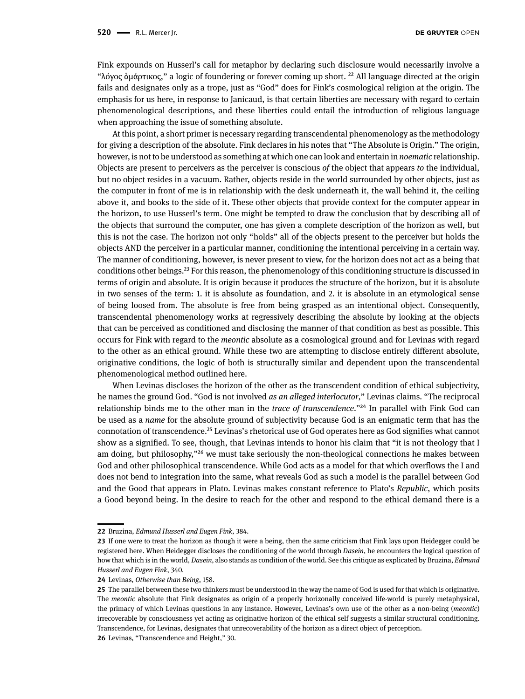Fink expounds on Husserl's call for metaphor by declaring such disclosure would necessarily involve a "λόγος άμάρτικος," a logic of foundering or forever coming up short. <sup>22</sup> All language directed at the origin fails and designates only as a trope, just as "God" does for Fink's cosmological religion at the origin. The emphasis for us here, in response to Janicaud, is that certain liberties are necessary with regard to certain phenomenological descriptions, and these liberties could entail the introduction of religious language when approaching the issue of something absolute.

At this point, a short primer is necessary regarding transcendental phenomenology as the methodology for giving a description of the absolute. Fink declares in his notes that "The Absolute is Origin." The origin, however, is not to be understood as something at which one can look and entertain in *noematic* relationship. Objects are present to perceivers as the perceiver is conscious *of* the object that appears *to* the individual, but no object resides in a vacuum. Rather, objects reside in the world surrounded by other objects, just as the computer in front of me is in relationship with the desk underneath it, the wall behind it, the ceiling above it, and books to the side of it. These other objects that provide context for the computer appear in the horizon, to use Husserl's term. One might be tempted to draw the conclusion that by describing all of the objects that surround the computer, one has given a complete description of the horizon as well, but this is not the case. The horizon not only "holds" all of the objects present to the perceiver but holds the objects AND the perceiver in a particular manner, conditioning the intentional perceiving in a certain way. The manner of conditioning, however, is never present to view, for the horizon does not act as a being that conditions other beings.23 For this reason, the phenomenology of this conditioning structure is discussed in terms of origin and absolute. It is origin because it produces the structure of the horizon, but it is absolute in two senses of the term: 1. it is absolute as foundation, and 2. it is absolute in an etymological sense of being loosed from. The absolute is free from being grasped as an intentional object. Consequently, transcendental phenomenology works at regressively describing the absolute by looking at the objects that can be perceived as conditioned and disclosing the manner of that condition as best as possible. This occurs for Fink with regard to the *meontic* absolute as a cosmological ground and for Levinas with regard to the other as an ethical ground. While these two are attempting to disclose entirely different absolute, originative conditions, the logic of both is structurally similar and dependent upon the transcendental phenomenological method outlined here.

When Levinas discloses the horizon of the other as the transcendent condition of ethical subjectivity, he names the ground God. "God is not involved *as an alleged interlocutor*," Levinas claims. "The reciprocal relationship binds me to the other man in the *trace of transcendence*."24 In parallel with Fink God can be used as a *name* for the absolute ground of subjectivity because God is an enigmatic term that has the connotation of transcendence.25 Levinas's rhetorical use of God operates here as God signifies what cannot show as a signified. To see, though, that Levinas intends to honor his claim that "it is not theology that I am doing, but philosophy,"<sup>26</sup> we must take seriously the non-theological connections he makes between God and other philosophical transcendence. While God acts as a model for that which overflows the I and does not bend to integration into the same, what reveals God as such a model is the parallel between God and the Good that appears in Plato. Levinas makes constant reference to Plato's *Republic*, which posits a Good beyond being. In the desire to reach for the other and respond to the ethical demand there is a

**<sup>22</sup>** Bruzina, *Edmund Husserl and Eugen Fink*, 384.

**<sup>23</sup>** If one were to treat the horizon as though it were a being, then the same criticism that Fink lays upon Heidegger could be registered here. When Heidegger discloses the conditioning of the world through *Dasein*, he encounters the logical question of how that which is in the world, *Dasein*, also stands as condition of the world. See this critique as explicated by Bruzina, *Edmund Husserl and Eugen Fink*, 340.

**<sup>24</sup>** Levinas, *Otherwise than Being*, 158.

**<sup>25</sup>** The parallel between these two thinkers must be understood in the way the name of God is used for that which is originative. The *meontic* absolute that Fink designates as origin of a properly horizonally conceived life-world is purely metaphysical, the primacy of which Levinas questions in any instance. However, Levinas's own use of the other as a non-being (*meontic*) irrecoverable by consciousness yet acting as originative horizon of the ethical self suggests a similar structural conditioning. Transcendence, for Levinas, designates that unrecoverability of the horizon as a direct object of perception.

**<sup>26</sup>** Levinas, "Transcendence and Height," 30.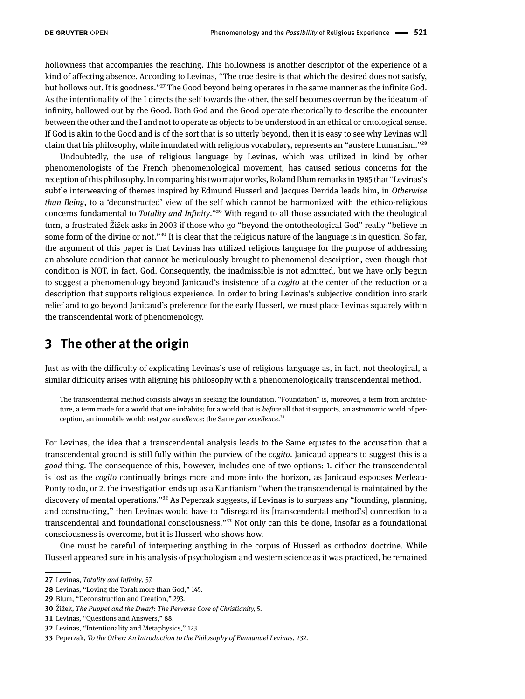hollowness that accompanies the reaching. This hollowness is another descriptor of the experience of a kind of affecting absence. According to Levinas, "The true desire is that which the desired does not satisfy, but hollows out. It is goodness."27 The Good beyond being operates in the same manner as the infinite God. As the intentionality of the I directs the self towards the other, the self becomes overrun by the ideatum of infinity, hollowed out by the Good. Both God and the Good operate rhetorically to describe the encounter between the other and the I and not to operate as objects to be understood in an ethical or ontological sense. If God is akin to the Good and is of the sort that is so utterly beyond, then it is easy to see why Levinas will claim that his philosophy, while inundated with religious vocabulary, represents an "austere humanism."28

Undoubtedly, the use of religious language by Levinas, which was utilized in kind by other phenomenologists of the French phenomenological movement, has caused serious concerns for the reception of this philosophy. In comparing his two major works, Roland Blum remarks in 1985 that "Levinas's subtle interweaving of themes inspired by Edmund Husserl and Jacques Derrida leads him, in *Otherwise than Being*, to a 'deconstructed' view of the self which cannot be harmonized with the ethico-religious concerns fundamental to *Totality and Infinity*."29 With regard to all those associated with the theological turn, a frustrated Žižek asks in 2003 if those who go "beyond the ontotheological God" really "believe in some form of the divine or not."<sup>30</sup> It is clear that the religious nature of the language is in question. So far, the argument of this paper is that Levinas has utilized religious language for the purpose of addressing an absolute condition that cannot be meticulously brought to phenomenal description, even though that condition is NOT, in fact, God. Consequently, the inadmissible is not admitted, but we have only begun to suggest a phenomenology beyond Janicaud's insistence of a *cogito* at the center of the reduction or a description that supports religious experience. In order to bring Levinas's subjective condition into stark relief and to go beyond Janicaud's preference for the early Husserl, we must place Levinas squarely within the transcendental work of phenomenology.

## **3 The other at the origin**

Just as with the difficulty of explicating Levinas's use of religious language as, in fact, not theological, a similar difficulty arises with aligning his philosophy with a phenomenologically transcendental method.

The transcendental method consists always in seeking the foundation. "Foundation" is, moreover, a term from architecture, a term made for a world that one inhabits; for a world that is *before* all that it supports, an astronomic world of perception, an immobile world; rest *par excellence*; the Same *par excellence.*31

For Levinas, the idea that a transcendental analysis leads to the Same equates to the accusation that a transcendental ground is still fully within the purview of the *cogito*. Janicaud appears to suggest this is a *good* thing. The consequence of this, however, includes one of two options: 1. either the transcendental is lost as the *cogito* continually brings more and more into the horizon, as Janicaud espouses Merleau-Ponty to do, or 2. the investigation ends up as a Kantianism "when the transcendental is maintained by the discovery of mental operations."<sup>32</sup> As Peperzak suggests, if Levinas is to surpass any "founding, planning, and constructing," then Levinas would have to "disregard its [transcendental method's] connection to a transcendental and foundational consciousness."33 Not only can this be done, insofar as a foundational consciousness is overcome, but it is Husserl who shows how.

One must be careful of interpreting anything in the corpus of Husserl as orthodox doctrine. While Husserl appeared sure in his analysis of psychologism and western science as it was practiced, he remained

**<sup>27</sup>** Levinas, *Totality and Infinity*, 57.

**<sup>28</sup>** Levinas, "Loving the Torah more than God," 145.

**<sup>29</sup>** Blum, "Deconstruction and Creation," 293.

**<sup>30</sup>** Žižek, *The Puppet and the Dwarf: The Perverse Core of Christianity,* 5.

**<sup>31</sup>** Levinas, "Questions and Answers," 88.

**<sup>32</sup>** Levinas, "Intentionality and Metaphysics," 123.

**<sup>33</sup>** Peperzak, *To the Other: An Introduction to the Philosophy of Emmanuel Levinas*, 232.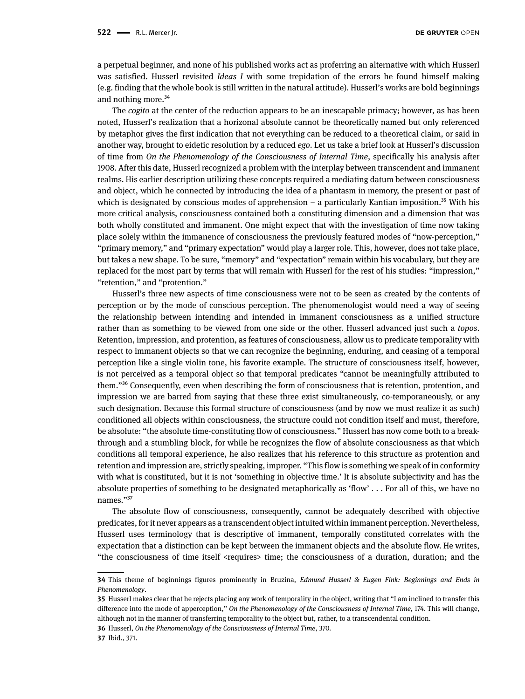a perpetual beginner, and none of his published works act as proferring an alternative with which Husserl was satisfied. Husserl revisited *Ideas I* with some trepidation of the errors he found himself making (e.g. finding that the whole book is still written in the natural attitude). Husserl's works are bold beginnings and nothing more.<sup>34</sup>

The *cogito* at the center of the reduction appears to be an inescapable primacy; however, as has been noted, Husserl's realization that a horizonal absolute cannot be theoretically named but only referenced by metaphor gives the first indication that not everything can be reduced to a theoretical claim, or said in another way, brought to eidetic resolution by a reduced *ego*. Let us take a brief look at Husserl's discussion of time from *On the Phenomenology of the Consciousness of Internal Time*, specifically his analysis after 1908. After this date, Husserl recognized a problem with the interplay between transcendent and immanent realms. His earlier description utilizing these concepts required a mediating datum between consciousness and object, which he connected by introducing the idea of a phantasm in memory, the present or past of which is designated by conscious modes of apprehension – a particularly Kantian imposition.<sup>35</sup> With his more critical analysis, consciousness contained both a constituting dimension and a dimension that was both wholly constituted and immanent. One might expect that with the investigation of time now taking place solely within the immanence of consciousness the previously featured modes of "now-perception," "primary memory," and "primary expectation" would play a larger role. This, however, does not take place, but takes a new shape. To be sure, "memory" and "expectation" remain within his vocabulary, but they are replaced for the most part by terms that will remain with Husserl for the rest of his studies: "impression," "retention," and "protention."

Husserl's three new aspects of time consciousness were not to be seen as created by the contents of perception or by the mode of conscious perception. The phenomenologist would need a way of seeing the relationship between intending and intended in immanent consciousness as a unified structure rather than as something to be viewed from one side or the other. Husserl advanced just such a *topos*. Retention, impression, and protention, as features of consciousness, allow us to predicate temporality with respect to immanent objects so that we can recognize the beginning, enduring, and ceasing of a temporal perception like a single violin tone, his favorite example. The structure of consciousness itself, however, is not perceived as a temporal object so that temporal predicates "cannot be meaningfully attributed to them."36 Consequently, even when describing the form of consciousness that is retention, protention, and impression we are barred from saying that these three exist simultaneously, co-temporaneously, or any such designation. Because this formal structure of consciousness (and by now we must realize it as such) conditioned all objects within consciousness, the structure could not condition itself and must, therefore, be absolute: "the absolute time-constituting flow of consciousness." Husserl has now come both to a breakthrough and a stumbling block, for while he recognizes the flow of absolute consciousness as that which conditions all temporal experience, he also realizes that his reference to this structure as protention and retention and impression are, strictly speaking, improper. "This flow is something we speak of in conformity with what is constituted, but it is not 'something in objective time.' It is absolute subjectivity and has the absolute properties of something to be designated metaphorically as 'flow' . . . For all of this, we have no names."37

The absolute flow of consciousness, consequently, cannot be adequately described with objective predicates, for it never appears as a transcendent object intuited within immanent perception. Nevertheless, Husserl uses terminology that is descriptive of immanent, temporally constituted correlates with the expectation that a distinction can be kept between the immanent objects and the absolute flow. He writes, "the consciousness of time itself <requires> time; the consciousness of a duration, duration; and the

**36** Husserl, *On the Phenomenology of the Consciousness of Internal Time*, 370.

**37** Ibid., 371.

**<sup>34</sup>** This theme of beginnings figures prominently in Bruzina, *Edmund Husserl & Eugen Fink: Beginnings and Ends in Phenomenology*.

**<sup>35</sup>** Husserl makes clear that he rejects placing any work of temporality in the object, writing that "I am inclined to transfer this difference into the mode of apperception," *On the Phenomenology of the Consciousness of Internal Time*, 174. This will change, although not in the manner of transferring temporality to the object but, rather, to a transcendental condition.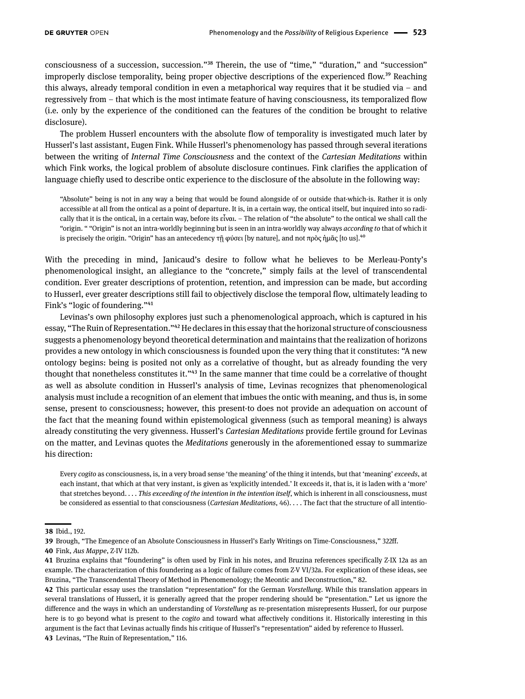consciousness of a succession, succession."38 Therein, the use of "time," "duration," and "succession" improperly disclose temporality, being proper objective descriptions of the experienced flow.<sup>39</sup> Reaching this always, already temporal condition in even a metaphorical way requires that it be studied via – and regressively from – that which is the most intimate feature of having consciousness, its temporalized flow (i.e. only by the experience of the conditioned can the features of the condition be brought to relative disclosure).

The problem Husserl encounters with the absolute flow of temporality is investigated much later by Husserl's last assistant, Eugen Fink. While Husserl's phenomenology has passed through several iterations between the writing of *Internal Time Consciousness* and the context of the *Cartesian Meditations* within which Fink works, the logical problem of absolute disclosure continues. Fink clarifies the application of language chiefly used to describe ontic experience to the disclosure of the absolute in the following way:

"Absolute" being is not in any way a being that would be found alongside of or outside that-which-is. Rather it is only accessible at all from the ontical as a point of departure. It is, in a certain way, the ontical itself, but inquired into so radically that it is the ontical, in a certain way, before its εἶναι. – The relation of "the absolute" to the ontical we shall call the "origin. " "Origin" is not an intra-worldly beginning but is seen in an intra-worldly way always *according to* that of which it is precisely the origin. "Origin" has an antecedency τῇ φύσει [by nature], and not πρὸς ἡμᾶς [to us].<sup>40</sup>

With the preceding in mind, Janicaud's desire to follow what he believes to be Merleau-Ponty's phenomenological insight, an allegiance to the "concrete," simply fails at the level of transcendental condition. Ever greater descriptions of protention, retention, and impression can be made, but according to Husserl, ever greater descriptions still fail to objectively disclose the temporal flow, ultimately leading to Fink's "logic of foundering."41

Levinas's own philosophy explores just such a phenomenological approach, which is captured in his essay, "The Ruin of Representation."42 He declares in this essay that the horizonal structure of consciousness suggests a phenomenology beyond theoretical determination and maintains that the realization of horizons provides a new ontology in which consciousness is founded upon the very thing that it constitutes: "A new ontology begins: being is posited not only as a correlative of thought, but as already founding the very thought that nonetheless constitutes it."<sup>43</sup> In the same manner that time could be a correlative of thought as well as absolute condition in Husserl's analysis of time, Levinas recognizes that phenomenological analysis must include a recognition of an element that imbues the ontic with meaning, and thus is, in some sense, present to consciousness; however, this present-to does not provide an adequation on account of the fact that the meaning found within epistemological givenness (such as temporal meaning) is always already constituting the very givenness. Husserl's *Cartesian Meditations* provide fertile ground for Levinas on the matter, and Levinas quotes the *Meditations* generously in the aforementioned essay to summarize his direction:

Every *cogito* as consciousness, is, in a very broad sense 'the meaning' of the thing it intends, but that 'meaning' *exceeds*, at each instant, that which at that very instant, is given as 'explicitly intended.' It exceeds it, that is, it is laden with a 'more' that stretches beyond. . . . *This exceeding of the intention in the intention itself*, which is inherent in all consciousness, must be considered as essential to that consciousness (*Cartesian Meditations*, 46). . . . The fact that the structure of all intentio-

**<sup>38</sup>** Ibid., 192.

**<sup>39</sup>** Brough, "The Emegence of an Absolute Consciousness in Husserl's Early Writings on Time-Consciousness," 322ff.

**<sup>40</sup>** Fink, *Aus Mappe*, Z-IV 112b.

**<sup>41</sup>** Bruzina explains that "foundering" is often used by Fink in his notes, and Bruzina references specifically Z-IX 12a as an example. The characterization of this foundering as a logic of failure comes from Z-V VI/32a. For explication of these ideas, see Bruzina, "The Transcendental Theory of Method in Phenomenology; the Meontic and Deconstruction," 82.

**<sup>42</sup>** This particular essay uses the translation "representation" for the German *Vorstellung*. While this translation appears in several translations of Husserl, it is generally agreed that the proper rendering should be "presentation." Let us ignore the difference and the ways in which an understanding of *Vorstellung* as re-presentation misrepresents Husserl, for our purpose here is to go beyond what is present to the *cogito* and toward what affectively conditions it. Historically interesting in this argument is the fact that Levinas actually finds his critique of Husserl's "representation" aided by reference to Husserl. **43** Levinas, "The Ruin of Representation," 116.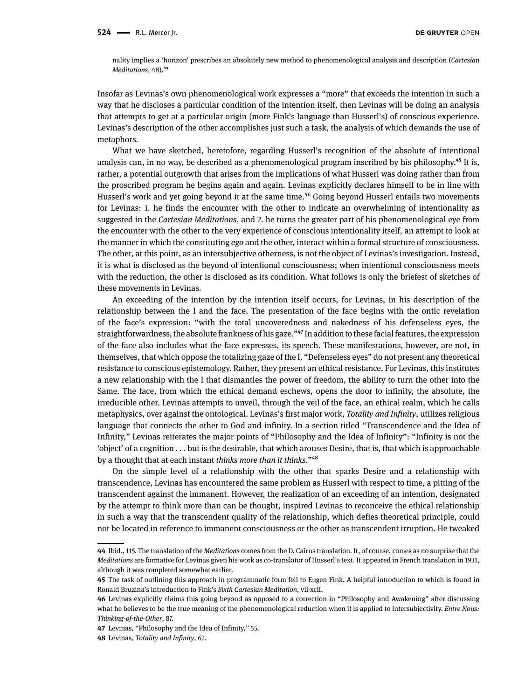#### **524** R.L. Mercer Jr.

nality implies a 'horizon' prescribes an absolutely new method to phenomenological analysis and description (*Cartesian Meditations*, 48).44

Insofar as Levinas's own phenomenological work expresses a "more" that exceeds the intention in such a way that he discloses a particular condition of the intention itself, then Levinas will be doing an analysis that attempts to get at a particular origin (more Fink's language than Husserl's) of conscious experience. Levinas's description of the other accomplishes just such a task, the analysis of which demands the use of metaphors.

What we have sketched, heretofore, regarding Husserl's recognition of the absolute of intentional analysis can, in no way, be described as a phenomenological program inscribed by his philosophy.<sup>45</sup> It is, rather, a potential outgrowth that arises from the implications of what Husserl was doing rather than from the proscribed program he begins again and again. Levinas explicitly declares himself to be in line with Husserl's work and yet going beyond it at the same time.<sup>46</sup> Going beyond Husserl entails two movements for Levinas: 1. he finds the encounter with the other to indicate an overwhelming of intentionality as suggested in the *Cartesian Meditations*, and 2. he turns the greater part of his phenomenological eye from the encounter with the other to the very experience of conscious intentionality itself, an attempt to look at the manner in which the constituting *ego* and the other, interact within a formal structure of consciousness. The other, at this point, as an intersubjective otherness, is not the object of Levinas's investigation. Instead, it is what is disclosed as the beyond of intentional consciousness; when intentional consciousness meets with the reduction, the other is disclosed as its condition. What follows is only the briefest of sketches of these movements in Levinas.

An exceeding of the intention by the intention itself occurs, for Levinas, in his description of the relationship between the I and the face. The presentation of the face begins with the ontic revelation of the face's expression: "with the total uncoveredness and nakedness of his defenseless eyes, the straightforwardness, the absolute frankness of his gaze."47 In addition to these facial features, the expression of the face also includes what the face expresses, its speech. These manifestations, however, are not, in themselves, that which oppose the totalizing gaze of the I. "Defenseless eyes" do not present any theoretical resistance to conscious epistemology. Rather, they present an ethical resistance. For Levinas, this institutes a new relationship with the I that dismantles the power of freedom, the ability to turn the other into the Same. The face, from which the ethical demand eschews, opens the door to infinity, the absolute, the irreducible other. Levinas attempts to unveil, through the veil of the face, an ethical realm, which he calls metaphysics, over against the ontological. Levinas's first major work, *Totality and Infinity*, utilizes religious language that connects the other to God and infinity. In a section titled "Transcendence and the Idea of Infinity," Levinas reiterates the major points of "Philosophy and the Idea of Infinity": "Infinity is not the 'object' of a cognition . . . but is the desirable, that which arouses Desire, that is, that which is approachable by a thought that at each instant *thinks more than it thinks*."48

On the simple level of a relationship with the other that sparks Desire and a relationship with transcendence, Levinas has encountered the same problem as Husserl with respect to time, a pitting of the transcendent against the immanent. However, the realization of an exceeding of an intention, designated by the attempt to think more than can be thought, inspired Levinas to reconceive the ethical relationship in such a way that the transcendent quality of the relationship, which defies theoretical principle, could not be located in reference to immanent consciousness or the other as transcendent irruption. He tweaked

**<sup>44</sup>** Ibid., 115. The translation of the *Meditations* comes from the D. Cairns translation. It, of course, comes as no surprise that the *Meditations* are formative for Levinas given his work as co-translator of Husserl's text. It appeared in French translation in 1931, although it was completed somewhat earlier.

**<sup>45</sup>** The task of outlining this approach in programmatic form fell to Eugen Fink. A helpful introduction to which is found in Ronald Bruzina's introduction to Fink's *Sixth Cartesian Meditation*, vii-xcii.

**<sup>46</sup>** Levinas explicitly claims this going beyond as opposed to a correction in "Philosophy and Awakening" after discussing what he believes to be the true meaning of the phenomenological reduction when it is applied to intersubjectivity. *Entre Nous: Thinking-of-the-Other*, 87.

**<sup>47</sup>** Levinas, "Philosophy and the Idea of Infinity," 55.

**<sup>48</sup>** Levinas, *Totality and Infinity*, 62.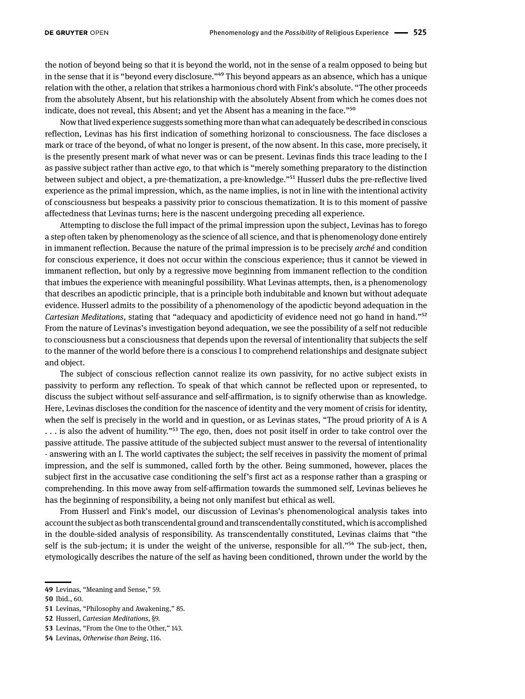the notion of beyond being so that it is beyond the world, not in the sense of a realm opposed to being but in the sense that it is "beyond every disclosure."49 This beyond appears as an absence, which has a unique relation with the other, a relation that strikes a harmonious chord with Fink's absolute. "The other proceeds from the absolutely Absent, but his relationship with the absolutely Absent from which he comes does not indicate, does not reveal, this Absent; and yet the Absent has a meaning in the face."50

Now that lived experience suggests something more than what can adequately be described in conscious reflection, Levinas has his first indication of something horizonal to consciousness. The face discloses a mark or trace of the beyond, of what no longer is present, of the now absent. In this case, more precisely, it is the presently present mark of what never was or can be present. Levinas finds this trace leading to the I as passive subject rather than active *ego*, to that which is "merely something preparatory to the distinction between subject and object, a pre-thematization, a pre-knowledge."51 Husserl dubs the pre-reflective lived experience as the primal impression, which, as the name implies, is not in line with the intentional activity of consciousness but bespeaks a passivity prior to conscious thematization. It is to this moment of passive affectedness that Levinas turns; here is the nascent undergoing preceding all experience.

Attempting to disclose the full impact of the primal impression upon the subject, Levinas has to forego a step often taken by phenomenology as the science of all science, and that is phenomenology done entirely in immanent reflection. Because the nature of the primal impression is to be precisely *arché* and condition for conscious experience, it does not occur within the conscious experience; thus it cannot be viewed in immanent reflection, but only by a regressive move beginning from immanent reflection to the condition that imbues the experience with meaningful possibility. What Levinas attempts, then, is a phenomenology that describes an apodictic principle, that is a principle both indubitable and known but without adequate evidence. Husserl admits to the possibility of a phenomenology of the apodictic beyond adequation in the *Cartesian Meditations*, stating that "adequacy and apodicticity of evidence need not go hand in hand."52 From the nature of Levinas's investigation beyond adequation, we see the possibility of a self not reducible to consciousness but a consciousness that depends upon the reversal of intentionality that subjects the self to the manner of the world before there is a conscious I to comprehend relationships and designate subject and object.

The subject of conscious reflection cannot realize its own passivity, for no active subject exists in passivity to perform any reflection. To speak of that which cannot be reflected upon or represented, to discuss the subject without self-assurance and self-affirmation, is to signify otherwise than as knowledge. Here, Levinas discloses the condition for the nascence of identity and the very moment of crisis for identity, when the self is precisely in the world and in question, or as Levinas states, "The proud priority of A is A . . . is also the advent of humility."53 The *ego*, then, does not posit itself in order to take control over the passive attitude. The passive attitude of the subjected subject must answer to the reversal of intentionality - answering with an I. The world captivates the subject; the self receives in passivity the moment of primal impression, and the self is summoned, called forth by the other. Being summoned, however, places the subject first in the accusative case conditioning the self's first act as a response rather than a grasping or comprehending. In this move away from self-affirmation towards the summoned self, Levinas believes he has the beginning of responsibility, a being not only manifest but ethical as well.

From Husserl and Fink's model, our discussion of Levinas's phenomenological analysis takes into account the subject as both transcendental ground and transcendentally constituted, which is accomplished in the double-sided analysis of responsibility. As transcendentally constituted, Levinas claims that "the self is the sub-jectum; it is under the weight of the universe, responsible for all."54 The sub-ject, then, etymologically describes the nature of the self as having been conditioned, thrown under the world by the

**<sup>49</sup>** Levinas, "Meaning and Sense," 59.

**<sup>50</sup>** Ibid., 60.

**<sup>51</sup>** Levinas, "Philosophy and Awakening," 85.

**<sup>52</sup>** Husserl, *Cartesian Meditations*, §9.

**<sup>53</sup>** Levinas, "From the One to the Other," 143.

**<sup>54</sup>** Levinas, *Otherwise than Being*, 116.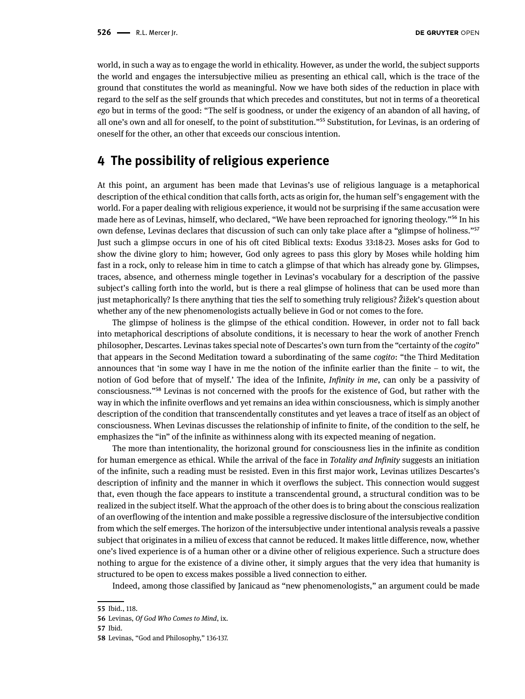world, in such a way as to engage the world in ethicality. However, as under the world, the subject supports the world and engages the intersubjective milieu as presenting an ethical call, which is the trace of the ground that constitutes the world as meaningful. Now we have both sides of the reduction in place with regard to the self as the self grounds that which precedes and constitutes, but not in terms of a theoretical *ego* but in terms of the good: "The self is goodness, or under the exigency of an abandon of all having, of all one's own and all for oneself, to the point of substitution."55 Substitution, for Levinas, is an ordering of oneself for the other, an other that exceeds our conscious intention.

## **4 The possibility of religious experience**

At this point, an argument has been made that Levinas's use of religious language is a metaphorical description of the ethical condition that calls forth, acts as origin for, the human self's engagement with the world. For a paper dealing with religious experience, it would not be surprising if the same accusation were made here as of Levinas, himself, who declared, "We have been reproached for ignoring theology."56 In his own defense, Levinas declares that discussion of such can only take place after a "glimpse of holiness."57 Just such a glimpse occurs in one of his oft cited Biblical texts: Exodus 33:18-23. Moses asks for God to show the divine glory to him; however, God only agrees to pass this glory by Moses while holding him fast in a rock, only to release him in time to catch a glimpse of that which has already gone by. Glimpses, traces, absence, and otherness mingle together in Levinas's vocabulary for a description of the passive subject's calling forth into the world, but is there a real glimpse of holiness that can be used more than just metaphorically? Is there anything that ties the self to something truly religious? Žižek's question about whether any of the new phenomenologists actually believe in God or not comes to the fore.

The glimpse of holiness is the glimpse of the ethical condition. However, in order not to fall back into metaphorical descriptions of absolute conditions, it is necessary to hear the work of another French philosopher, Descartes. Levinas takes special note of Descartes's own turn from the "certainty of the *cogito*" that appears in the Second Meditation toward a subordinating of the same *cogito*: "the Third Meditation announces that 'in some way I have in me the notion of the infinite earlier than the finite  $-$  to wit, the notion of God before that of myself.' The idea of the Infinite, *Infinity in me*, can only be a passivity of consciousness."58 Levinas is not concerned with the proofs for the existence of God, but rather with the way in which the infinite overflows and yet remains an idea within consciousness, which is simply another description of the condition that transcendentally constitutes and yet leaves a trace of itself as an object of consciousness. When Levinas discusses the relationship of infinite to finite, of the condition to the self, he emphasizes the "in" of the infinite as withinness along with its expected meaning of negation.

The more than intentionality, the horizonal ground for consciousness lies in the infinite as condition for human emergence as ethical. While the arrival of the face in *Totality and Infinity* suggests an initiation of the infinite, such a reading must be resisted. Even in this first major work, Levinas utilizes Descartes's description of infinity and the manner in which it overflows the subject. This connection would suggest that, even though the face appears to institute a transcendental ground, a structural condition was to be realized in the subject itself. What the approach of the other does is to bring about the conscious realization of an overflowing of the intention and make possible a regressive disclosure of the intersubjective condition from which the self emerges. The horizon of the intersubjective under intentional analysis reveals a passive subject that originates in a milieu of excess that cannot be reduced. It makes little difference, now, whether one's lived experience is of a human other or a divine other of religious experience. Such a structure does nothing to argue for the existence of a divine other, it simply argues that the very idea that humanity is structured to be open to excess makes possible a lived connection to either.

Indeed, among those classified by Janicaud as "new phenomenologists," an argument could be made

**57** Ibid.

**<sup>55</sup>** Ibid., 118.

**<sup>56</sup>** Levinas, *Of God Who Comes to Mind*, ix.

**<sup>58</sup>** Levinas, "God and Philosophy," 136-137.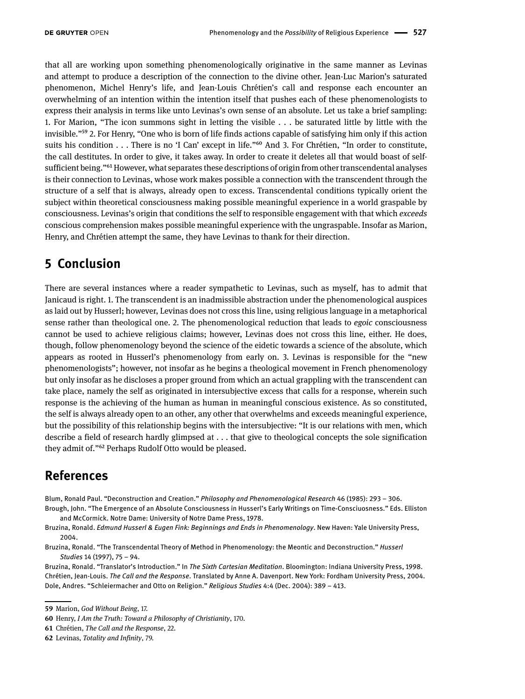that all are working upon something phenomenologically originative in the same manner as Levinas and attempt to produce a description of the connection to the divine other. Jean-Luc Marion's saturated phenomenon, Michel Henry's life, and Jean-Louis Chrétien's call and response each encounter an overwhelming of an intention within the intention itself that pushes each of these phenomenologists to express their analysis in terms like unto Levinas's own sense of an absolute. Let us take a brief sampling: 1. For Marion, "The icon summons sight in letting the visible . . . be saturated little by little with the invisible."59 2. For Henry, "One who is born of life finds actions capable of satisfying him only if this action suits his condition . . . There is no 'I Can' except in life."60 And 3. For Chrétien, "In order to constitute, the call destitutes. In order to give, it takes away. In order to create it deletes all that would boast of selfsufficient being."<sup>61</sup> However, what separates these descriptions of origin from other transcendental analyses is their connection to Levinas, whose work makes possible a connection with the transcendent through the structure of a self that is always, already open to excess. Transcendental conditions typically orient the subject within theoretical consciousness making possible meaningful experience in a world graspable by consciousness. Levinas's origin that conditions the self to responsible engagement with that which *exceeds* conscious comprehension makes possible meaningful experience with the ungraspable. Insofar as Marion, Henry, and Chrétien attempt the same, they have Levinas to thank for their direction.

#### **5 Conclusion**

There are several instances where a reader sympathetic to Levinas, such as myself, has to admit that Janicaud is right. 1. The transcendent is an inadmissible abstraction under the phenomenological auspices as laid out by Husserl; however, Levinas does not cross this line, using religious language in a metaphorical sense rather than theological one. 2. The phenomenological reduction that leads to *egoic* consciousness cannot be used to achieve religious claims; however, Levinas does not cross this line, either. He does, though, follow phenomenology beyond the science of the eidetic towards a science of the absolute, which appears as rooted in Husserl's phenomenology from early on. 3. Levinas is responsible for the "new phenomenologists"; however, not insofar as he begins a theological movement in French phenomenology but only insofar as he discloses a proper ground from which an actual grappling with the transcendent can take place, namely the self as originated in intersubjective excess that calls for a response, wherein such response is the achieving of the human as human in meaningful conscious existence. As so constituted, the self is always already open to an other, any other that overwhelms and exceeds meaningful experience, but the possibility of this relationship begins with the intersubjective: "It is our relations with men, which describe a field of research hardly glimpsed at . . . that give to theological concepts the sole signification they admit of."62 Perhaps Rudolf Otto would be pleased.

#### **References**

Blum, Ronald Paul. "Deconstruction and Creation." *Philosophy and Phenomenological Research* 46 (1985): 293 – 306.

Brough, John. "The Emergence of an Absolute Consciousness in Husserl's Early Writings on Time-Consciuosness." Eds. Elliston and McCormick. Notre Dame: University of Notre Dame Press, 1978.

Bruzina, Ronald. *Edmund Husserl & Eugen Fink: Beginnings and Ends in Phenomenology*. New Haven: Yale University Press, 2004.

Bruzina, Ronald. "The Transcendental Theory of Method in Phenomenology: the Meontic and Deconstruction." *Husserl Studies* 14 (1997), 75 – 94.

Bruzina, Ronald. "Translator's Introduction." In *The Sixth Cartesian Meditation*. Bloomington: Indiana University Press, 1998. Chrétien, Jean-Louis. *The Call and the Response*. Translated by Anne A. Davenport. New York: Fordham University Press, 2004. Dole, Andres. "Schleiermacher and Otto on Religion." *Religious Studies* 4:4 (Dec. 2004): 389 – 413.

**<sup>59</sup>** Marion, *God Without Being*, 17.

**<sup>60</sup>** Henry, *I Am the Truth: Toward a Philosophy of Christianity*, 170.

**<sup>61</sup>** Chrétien, *The Call and the Response*, 22.

**<sup>62</sup>** Levinas, *Totality and Infinity*, 79.